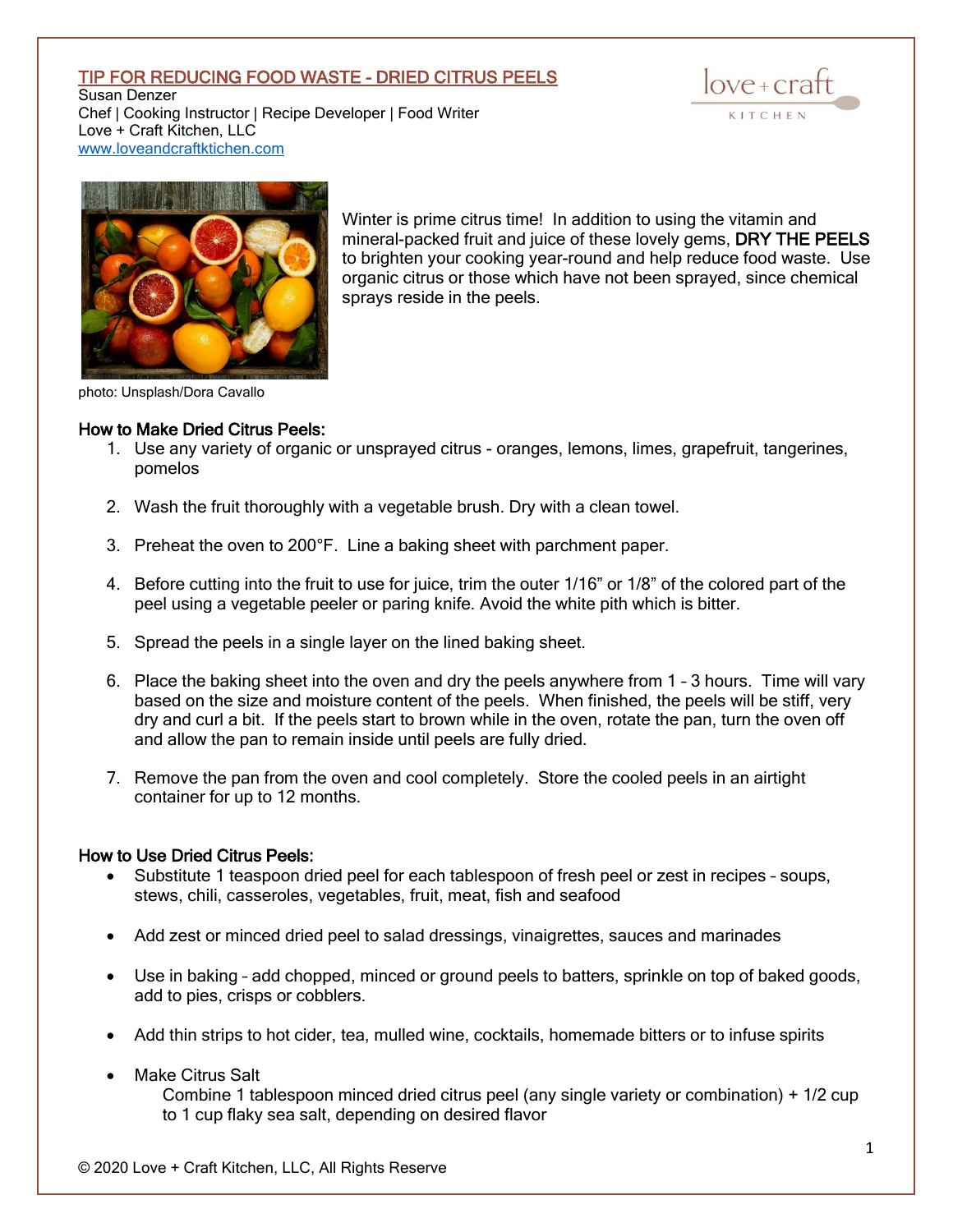## TIP FOR REDUCING FOOD WASTE - DRIED CITRUS PEELS

Susan Denzer Chef | Cooking Instructor | Recipe Developer | Food Writer Love + Craft Kitchen, LLC [www.loveandcraftktichen.com](http://www.loveandcraftktichen.com/)





Winter is prime citrus time! In addition to using the vitamin and mineral-packed fruit and juice of these lovely gems, DRY THE PEELS to brighten your cooking year-round and help reduce food waste. Use organic citrus or those which have not been sprayed, since chemical sprays reside in the peels.

photo: Unsplash/Dora Cavallo

## How to Make Dried Citrus Peels:

- 1. Use any variety of organic or unsprayed citrus oranges, lemons, limes, grapefruit, tangerines, pomelos
- 2. Wash the fruit thoroughly with a vegetable brush. Dry with a clean towel.
- 3. Preheat the oven to 200°F. Line a baking sheet with parchment paper.
- 4. Before cutting into the fruit to use for juice, trim the outer 1/16" or 1/8" of the colored part of the peel using a vegetable peeler or paring knife. Avoid the white pith which is bitter.
- 5. Spread the peels in a single layer on the lined baking sheet.
- 6. Place the baking sheet into the oven and dry the peels anywhere from 1 3 hours. Time will vary based on the size and moisture content of the peels. When finished, the peels will be stiff, very dry and curl a bit. If the peels start to brown while in the oven, rotate the pan, turn the oven off and allow the pan to remain inside until peels are fully dried.
- 7. Remove the pan from the oven and cool completely. Store the cooled peels in an airtight container for up to 12 months.

## How to Use Dried Citrus Peels:

- Substitute 1 teaspoon dried peel for each tablespoon of fresh peel or zest in recipes soups, stews, chili, casseroles, vegetables, fruit, meat, fish and seafood
- Add zest or minced dried peel to salad dressings, vinaigrettes, sauces and marinades
- Use in baking add chopped, minced or ground peels to batters, sprinkle on top of baked goods, add to pies, crisps or cobblers.
- Add thin strips to hot cider, tea, mulled wine, cocktails, homemade bitters or to infuse spirits
- Make Citrus Salt Combine 1 tablespoon minced dried citrus peel (any single variety or combination) + 1/2 cup to 1 cup flaky sea salt, depending on desired flavor